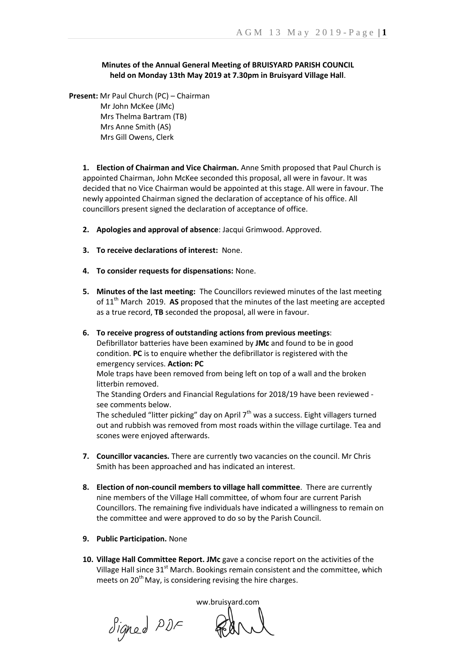## **Minutes of the Annual General Meeting of BRUISYARD PARISH COUNCIL held on Monday 13th May 2019 at 7.30pm in Bruisyard Village Hall**.

**Present:** Mr Paul Church (PC) – Chairman Mr John McKee (JMc)

> Mrs Thelma Bartram (TB) Mrs Anne Smith (AS) Mrs Gill Owens, Clerk

**1. Election of Chairman and Vice Chairman.** Anne Smith proposed that Paul Church is appointed Chairman, John McKee seconded this proposal, all were in favour. It was decided that no Vice Chairman would be appointed at this stage. All were in favour. The newly appointed Chairman signed the declaration of acceptance of his office. All councillors present signed the declaration of acceptance of office.

- **2. Apologies and approval of absence**: Jacqui Grimwood. Approved.
- **3. To receive declarations of interest:** None.
- **4. To consider requests for dispensations:** None.
- **5. Minutes of the last meeting:** The Councillors reviewed minutes of the last meeting of 11<sup>th</sup> March 2019. AS proposed that the minutes of the last meeting are accepted as a true record, **TB** seconded the proposal, all were in favour.
- **6. To receive progress of outstanding actions from previous meetings**: Defibrillator batteries have been examined by **JMc** and found to be in good condition. **PC** is to enquire whether the defibrillator is registered with the emergency services. **Action: PC**

Mole traps have been removed from being left on top of a wall and the broken litterbin removed.

The Standing Orders and Financial Regulations for 2018/19 have been reviewed see comments below.

The scheduled "litter picking" day on April  $7<sup>th</sup>$  was a success. Eight villagers turned out and rubbish was removed from most roads within the village curtilage. Tea and scones were enjoyed afterwards.

- **7. Councillor vacancies.** There are currently two vacancies on the council. Mr Chris Smith has been approached and has indicated an interest.
- **8. Election of non-council members to village hall committee**. There are currently nine members of the Village Hall committee, of whom four are current Parish Councillors. The remaining five individuals have indicated a willingness to remain on the committee and were approved to do so by the Parish Council.
- **9. Public Participation.** None
- **10. Village Hall Committee Report. JMc** gave a concise report on the activities of the Village Hall since 31<sup>st</sup> March. Bookings remain consistent and the committee, which meets on  $20<sup>th</sup>$  May, is considering revising the hire charges.

Signed PDF

ww.bruisyard.com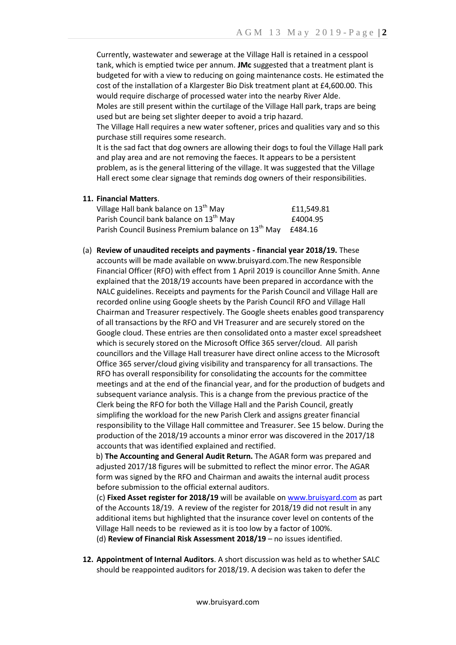Currently, wastewater and sewerage at the Village Hall is retained in a cesspool tank, which is emptied twice per annum. **JMc** suggested that a treatment plant is budgeted for with a view to reducing on going maintenance costs. He estimated the cost of the installation of a Klargester Bio Disk treatment plant at £4,600.00. This would require discharge of processed water into the nearby River Alde. Moles are still present within the curtilage of the Village Hall park, traps are being used but are being set slighter deeper to avoid a trip hazard.

The Village Hall requires a new water softener, prices and qualities vary and so this purchase still requires some research.

It is the sad fact that dog owners are allowing their dogs to foul the Village Hall park and play area and are not removing the faeces. It appears to be a persistent problem, as is the general littering of the village. It was suggested that the Village Hall erect some clear signage that reminds dog owners of their responsibilities.

**11. Financial Matters**.

| Village Hall bank balance on 13 <sup>th</sup> May               | £11.549.81 |
|-----------------------------------------------------------------|------------|
| Parish Council bank balance on 13 <sup>th</sup> May             | £4004.95   |
| Parish Council Business Premium balance on 13 <sup>th</sup> May | £484.16    |

(a) **Review of unaudited receipts and payments - financial year 2018/19.** These accounts will be made available on www.bruisyard.com.The new Responsible Financial Officer (RFO) with effect from 1 April 2019 is councillor Anne Smith. Anne explained that the 2018/19 accounts have been prepared in accordance with the NALC guidelines. Receipts and payments for the Parish Council and Village Hall are recorded online using Google sheets by the Parish Council RFO and Village Hall Chairman and Treasurer respectively. The Google sheets enables good transparency of all transactions by the RFO and VH Treasurer and are securely stored on the Google cloud. These entries are then consolidated onto a master excel spreadsheet which is securely stored on the Microsoft Office 365 server/cloud. All parish councillors and the Village Hall treasurer have direct online access to the Microsoft Office 365 server/cloud giving visibility and transparency for all transactions. The RFO has overall responsibility for consolidating the accounts for the committee meetings and at the end of the financial year, and for the production of budgets and subsequent variance analysis. This is a change from the previous practice of the Clerk being the RFO for both the Village Hall and the Parish Council, greatly simplifing the workload for the new Parish Clerk and assigns greater financial responsibility to the Village Hall committee and Treasurer. See 15 below. During the production of the 2018/19 accounts a minor error was discovered in the 2017/18 accounts that was identified explained and rectified.

b) **The Accounting and General Audit Return.** The AGAR form was prepared and adjusted 2017/18 figures will be submitted to reflect the minor error. The AGAR form was signed by the RFO and Chairman and awaits the internal audit process before submission to the official external auditors.

(c) **Fixed Asset register for 2018/19** will be available o[n www.bruisyard.com](http://www.bruisyard.com/) as part of the Accounts 18/19. A review of the register for 2018/19 did not result in any additional items but highlighted that the insurance cover level on contents of the Village Hall needs to be reviewed as it is too low by a factor of 100%.

(d) **Review of Financial Risk Assessment 2018/19** – no issues identified.

**12. Appointment of Internal Auditors**. A short discussion was held as to whether SALC should be reappointed auditors for 2018/19. A decision was taken to defer the